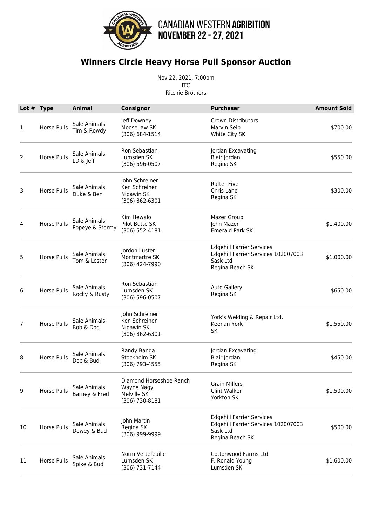

## **Winners Circle Heavy Horse Pull Sponsor Auction**

Nov 22, 2021, 7:00pm ITC Ritchie Brothers

|    | Lot # Type  | <b>Animal</b>                   | Consignor                                                              | <b>Purchaser</b>                                                                                       | <b>Amount Sold</b> |
|----|-------------|---------------------------------|------------------------------------------------------------------------|--------------------------------------------------------------------------------------------------------|--------------------|
| 1  | Horse Pulls | Sale Animals<br>Tim & Rowdy     | Jeff Downey<br>Moose Jaw SK<br>(306) 684-1514                          | <b>Crown Distributors</b><br>Marvin Seip<br>White City SK                                              | \$700.00           |
| 2  | Horse Pulls | Sale Animals<br>LD & Jeff       | Ron Sebastian<br>Lumsden SK<br>(306) 596-0507                          | Jordan Excavating<br>Blair Jordan<br>Regina SK                                                         | \$550.00           |
| 3  | Horse Pulls | Sale Animals<br>Duke & Ben      | John Schreiner<br>Ken Schreiner<br>Nipawin SK<br>(306) 862-6301        | <b>Rafter Five</b><br>Chris Lane<br>Regina SK                                                          | \$300.00           |
| 4  | Horse Pulls | Sale Animals<br>Popeye & Stormy | Kim Hewalo<br>Pilot Butte SK<br>$(306) 552 - 4181$                     | <b>Mazer Group</b><br>John Mazer<br><b>Emerald Park SK</b>                                             | \$1,400.00         |
| 5  | Horse Pulls | Sale Animals<br>Tom & Lester    | Jordon Luster<br>Montmartre SK<br>(306) 424-7990                       | <b>Edgehill Farrier Services</b><br>Edgehill Farrier Services 102007003<br>Sask Ltd<br>Regina Beach SK | \$1,000.00         |
| 6  | Horse Pulls | Sale Animals<br>Rocky & Rusty   | Ron Sebastian<br>Lumsden SK<br>$(306) 596 - 0507$                      | <b>Auto Gallery</b><br>Regina SK                                                                       | \$650.00           |
| 7  | Horse Pulls | Sale Animals<br>Bob & Doc       | John Schreiner<br>Ken Schreiner<br>Nipawin SK<br>$(306) 862 - 6301$    | York's Welding & Repair Ltd.<br>Keenan York<br>SK                                                      | \$1,550.00         |
| 8  | Horse Pulls | Sale Animals<br>Doc & Bud       | Randy Banga<br>Stockholm SK<br>(306) 793-4555                          | Jordan Excavating<br>Blair Jordan<br>Regina SK                                                         | \$450.00           |
| 9  | Horse Pulls | Sale Animals<br>Barney & Fred   | Diamond Horseshoe Ranch<br>Wayne Nagy<br>Melville SK<br>(306) 730-8181 | <b>Grain Millers</b><br>Clint Walker<br>Yorkton SK                                                     | \$1,500.00         |
| 10 | Horse Pulls | Sale Animals<br>Dewey & Bud     | John Martin<br>Regina SK<br>(306) 999-9999                             | Edgehill Farrier Services<br>Edgehill Farrier Services 102007003<br>Sask Ltd<br>Regina Beach SK        | \$500.00           |
| 11 | Horse Pulls | Sale Animals<br>Spike & Bud     | Norm Vertefeuille<br>Lumsden SK<br>(306) 731-7144                      | Cottonwood Farms Ltd.<br>F. Ronald Young<br>Lumsden SK                                                 | \$1,600.00         |